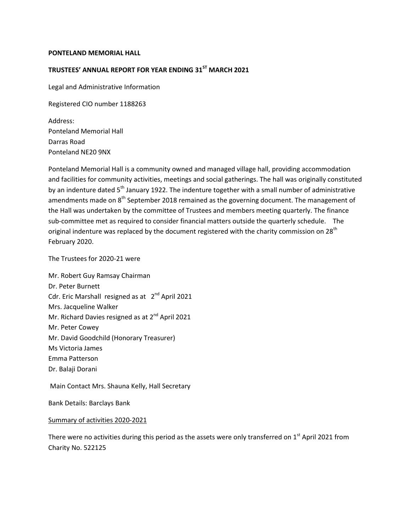#### **PONTELAND MEMORIAL HALL**

## **TRUSTEES' ANNUAL REPORT FOR YEAR ENDING 31ST MARCH 2021**

Legal and Administrative Information

Registered CIO number 1188263

Address: Ponteland Memorial Hall Darras Road Ponteland NE20 9NX

Ponteland Memorial Hall is a community owned and managed village hall, providing accommodation and facilities for community activities, meetings and social gatherings. The hall was originally constituted by an indenture dated 5<sup>th</sup> January 1922. The indenture together with a small number of administrative amendments made on  $8<sup>th</sup>$  September 2018 remained as the governing document. The management of the Hall was undertaken by the committee of Trustees and members meeting quarterly. The finance sub-committee met as required to consider financial matters outside the quarterly schedule. The original indenture was replaced by the document registered with the charity commission on 28<sup>th</sup> February 2020.

The Trustees for 2020-21 were

Mr. Robert Guy Ramsay Chairman Dr. Peter Burnett Cdr. Eric Marshall resigned as at 2<sup>nd</sup> April 2021 Mrs. Jacqueline Walker Mr. Richard Davies resigned as at 2<sup>nd</sup> April 2021 Mr. Peter Cowey Mr. David Goodchild (Honorary Treasurer) Ms Victoria James Emma Patterson Dr. Balaji Dorani

Main Contact Mrs. Shauna Kelly, Hall Secretary

Bank Details: Barclays Bank

#### Summary of activities 2020-2021

There were no activities during this period as the assets were only transferred on 1<sup>st</sup> April 2021 from Charity No. 522125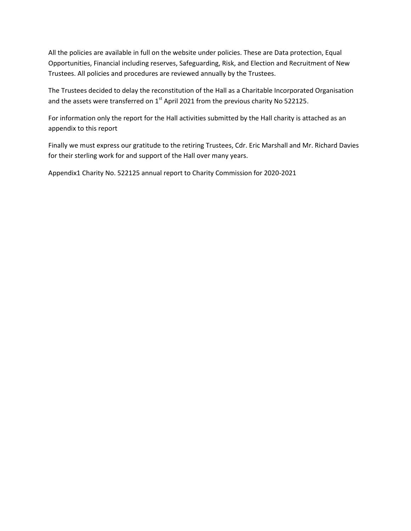All the policies are available in full on the website under policies. These are Data protection, Equal Opportunities, Financial including reserves, Safeguarding, Risk, and Election and Recruitment of New Trustees. All policies and procedures are reviewed annually by the Trustees.

The Trustees decided to delay the reconstitution of the Hall as a Charitable Incorporated Organisation and the assets were transferred on 1<sup>st</sup> April 2021 from the previous charity No 522125.

For information only the report for the Hall activities submitted by the Hall charity is attached as an appendix to this report

Finally we must express our gratitude to the retiring Trustees, Cdr. Eric Marshall and Mr. Richard Davies for their sterling work for and support of the Hall over many years.

Appendix1 Charity No. 522125 annual report to Charity Commission for 2020-2021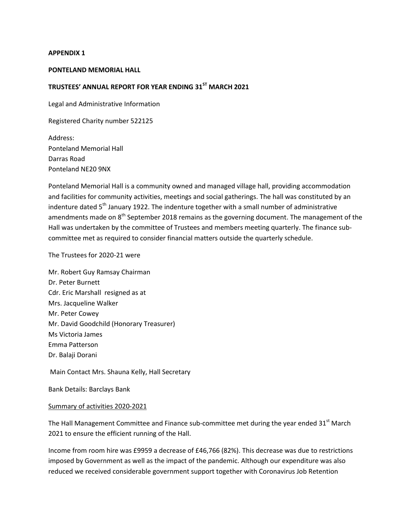#### **APPENDIX 1**

### **PONTELAND MEMORIAL HALL**

# **TRUSTEES' ANNUAL REPORT FOR YEAR ENDING 31ST MARCH 2021**

Legal and Administrative Information

Registered Charity number 522125

Address: Ponteland Memorial Hall Darras Road Ponteland NE20 9NX

Ponteland Memorial Hall is a community owned and managed village hall, providing accommodation and facilities for community activities, meetings and social gatherings. The hall was constituted by an indenture dated  $5<sup>th</sup>$  January 1922. The indenture together with a small number of administrative amendments made on 8<sup>th</sup> September 2018 remains as the governing document. The management of the Hall was undertaken by the committee of Trustees and members meeting quarterly. The finance subcommittee met as required to consider financial matters outside the quarterly schedule.

The Trustees for 2020-21 were

Mr. Robert Guy Ramsay Chairman Dr. Peter Burnett Cdr. Eric Marshall resigned as at Mrs. Jacqueline Walker Mr. Peter Cowey Mr. David Goodchild (Honorary Treasurer) Ms Victoria James Emma Patterson Dr. Balaji Dorani

Main Contact Mrs. Shauna Kelly, Hall Secretary

Bank Details: Barclays Bank

#### Summary of activities 2020-2021

The Hall Management Committee and Finance sub-committee met during the year ended 31<sup>st</sup> March 2021 to ensure the efficient running of the Hall.

Income from room hire was £9959 a decrease of £46,766 (82%). This decrease was due to restrictions imposed by Government as well as the impact of the pandemic. Although our expenditure was also reduced we received considerable government support together with Coronavirus Job Retention